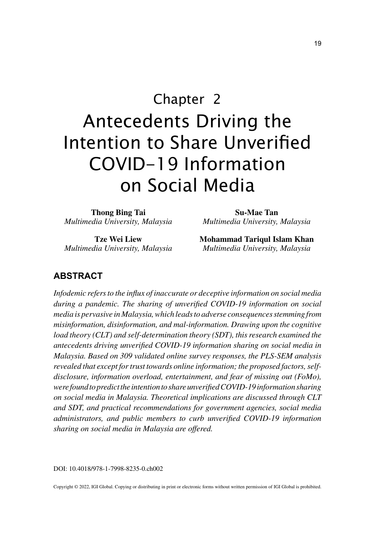# Chapter 2 Antecedents Driving the Intention to Share Unverified COVID-19 Information on Social Media

**Thong Bing Tai** *Multimedia University, Malaysia*

**Tze Wei Liew** *Multimedia University, Malaysia*

**Su-Mae Tan** *Multimedia University, Malaysia*

**Mohammad Tariqul Islam Khan** *Multimedia University, Malaysia*

## **ABSTRACT**

*Infodemic refers to the influx of inaccurate or deceptive information on social media during a pandemic. The sharing of unverified COVID-19 information on social media is pervasive in Malaysia, which leads to adverse consequences stemming from misinformation, disinformation, and mal-information. Drawing upon the cognitive load theory (CLT) and self-determination theory (SDT), this research examined the antecedents driving unverified COVID-19 information sharing on social media in Malaysia. Based on 309 validated online survey responses, the PLS-SEM analysis revealed that except for trust towards online information; the proposed factors, selfdisclosure, information overload, entertainment, and fear of missing out (FoMo), were found to predict the intention to share unverified COVID-19 information sharing on social media in Malaysia. Theoretical implications are discussed through CLT and SDT, and practical recommendations for government agencies, social media administrators, and public members to curb unverified COVID-19 information sharing on social media in Malaysia are offered.*

DOI: 10.4018/978-1-7998-8235-0.ch002

Copyright © 2022, IGI Global. Copying or distributing in print or electronic forms without written permission of IGI Global is prohibited.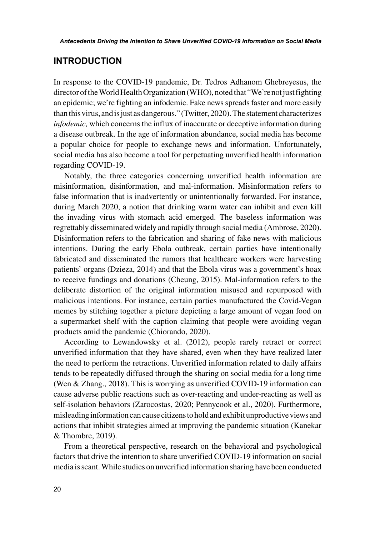#### **INTRODUCTION**

In response to the COVID-19 pandemic, Dr. Tedros Adhanom Ghebreyesus, the director of the World Health Organization (WHO), noted that "We're not just fighting an epidemic; we're fighting an infodemic. Fake news spreads faster and more easily than this virus, and is just as dangerous." (Twitter, 2020). The statement characterizes *infodemic,* which concerns the influx of inaccurate or deceptive information during a disease outbreak. In the age of information abundance, social media has become a popular choice for people to exchange news and information. Unfortunately, social media has also become a tool for perpetuating unverified health information regarding COVID-19.

Notably, the three categories concerning unverified health information are misinformation, disinformation, and mal-information. Misinformation refers to false information that is inadvertently or unintentionally forwarded. For instance, during March 2020, a notion that drinking warm water can inhibit and even kill the invading virus with stomach acid emerged. The baseless information was regrettably disseminated widely and rapidly through social media (Ambrose, 2020). Disinformation refers to the fabrication and sharing of fake news with malicious intentions. During the early Ebola outbreak, certain parties have intentionally fabricated and disseminated the rumors that healthcare workers were harvesting patients' organs (Dzieza, 2014) and that the Ebola virus was a government's hoax to receive fundings and donations (Cheung, 2015). Mal-information refers to the deliberate distortion of the original information misused and repurposed with malicious intentions. For instance, certain parties manufactured the Covid-Vegan memes by stitching together a picture depicting a large amount of vegan food on a supermarket shelf with the caption claiming that people were avoiding vegan products amid the pandemic (Chiorando, 2020).

According to Lewandowsky et al. (2012), people rarely retract or correct unverified information that they have shared, even when they have realized later the need to perform the retractions. Unverified information related to daily affairs tends to be repeatedly diffused through the sharing on social media for a long time (Wen & Zhang., 2018). This is worrying as unverified COVID-19 information can cause adverse public reactions such as over-reacting and under-reacting as well as self-isolation behaviors (Zarocostas, 2020; Pennycook et al., 2020). Furthermore, misleading information can cause citizens to hold and exhibit unproductive views and actions that inhibit strategies aimed at improving the pandemic situation (Kanekar & Thombre, 2019).

From a theoretical perspective, research on the behavioral and psychological factors that drive the intention to share unverified COVID-19 information on social media is scant. While studies on unverified information sharing have been conducted